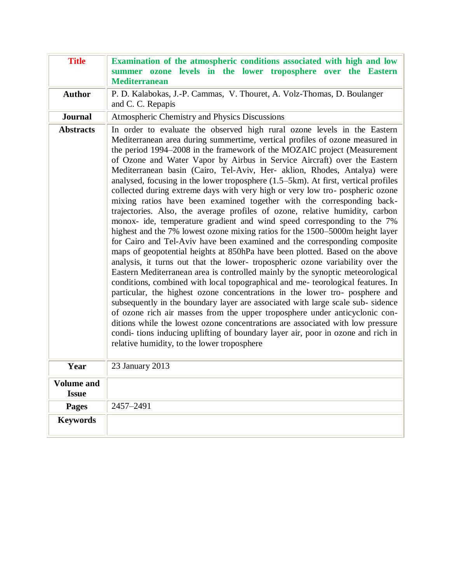| <b>Title</b>                      | Examination of the atmospheric conditions associated with high and low<br>summer ozone levels in the lower troposphere over the Eastern<br><b>Mediterranean</b>                                                                                                                                                                                                                                                                                                                                                                                                                                                                                                                                                                                                                                                                                                                                                                                                                                                                                                                                                                                                                                                                                                                                                                                                                                                                                                                                                                                                                                                                                                                                                                                                                     |
|-----------------------------------|-------------------------------------------------------------------------------------------------------------------------------------------------------------------------------------------------------------------------------------------------------------------------------------------------------------------------------------------------------------------------------------------------------------------------------------------------------------------------------------------------------------------------------------------------------------------------------------------------------------------------------------------------------------------------------------------------------------------------------------------------------------------------------------------------------------------------------------------------------------------------------------------------------------------------------------------------------------------------------------------------------------------------------------------------------------------------------------------------------------------------------------------------------------------------------------------------------------------------------------------------------------------------------------------------------------------------------------------------------------------------------------------------------------------------------------------------------------------------------------------------------------------------------------------------------------------------------------------------------------------------------------------------------------------------------------------------------------------------------------------------------------------------------------|
| <b>Author</b>                     | P. D. Kalabokas, J.-P. Cammas, V. Thouret, A. Volz-Thomas, D. Boulanger<br>and C. C. Repapis                                                                                                                                                                                                                                                                                                                                                                                                                                                                                                                                                                                                                                                                                                                                                                                                                                                                                                                                                                                                                                                                                                                                                                                                                                                                                                                                                                                                                                                                                                                                                                                                                                                                                        |
| <b>Journal</b>                    | Atmospheric Chemistry and Physics Discussions                                                                                                                                                                                                                                                                                                                                                                                                                                                                                                                                                                                                                                                                                                                                                                                                                                                                                                                                                                                                                                                                                                                                                                                                                                                                                                                                                                                                                                                                                                                                                                                                                                                                                                                                       |
| <b>Abstracts</b>                  | In order to evaluate the observed high rural ozone levels in the Eastern<br>Mediterranean area during summertime, vertical profiles of ozone measured in<br>the period 1994–2008 in the framework of the MOZAIC project (Measurement<br>of Ozone and Water Vapor by Airbus in Service Aircraft) over the Eastern<br>Mediterranean basin (Cairo, Tel-Aviv, Her- aklion, Rhodes, Antalya) were<br>analysed, focusing in the lower troposphere $(1.5-5km)$ . At first, vertical profiles<br>collected during extreme days with very high or very low tro-pospheric ozone<br>mixing ratios have been examined together with the corresponding back-<br>trajectories. Also, the average profiles of ozone, relative humidity, carbon<br>monox- ide, temperature gradient and wind speed corresponding to the 7%<br>highest and the 7% lowest ozone mixing ratios for the 1500–5000m height layer<br>for Cairo and Tel-Aviv have been examined and the corresponding composite<br>maps of geopotential heights at 850hPa have been plotted. Based on the above<br>analysis, it turns out that the lower- tropospheric ozone variability over the<br>Eastern Mediterranean area is controlled mainly by the synoptic meteorological<br>conditions, combined with local topographical and me- teorological features. In<br>particular, the highest ozone concentrations in the lower tro- posphere and<br>subsequently in the boundary layer are associated with large scale sub-sidence<br>of ozone rich air masses from the upper troposphere under anticyclonic con-<br>ditions while the lowest ozone concentrations are associated with low pressure<br>condi-tions inducing uplifting of boundary layer air, poor in ozone and rich in<br>relative humidity, to the lower troposphere |
| Year                              | 23 January 2013                                                                                                                                                                                                                                                                                                                                                                                                                                                                                                                                                                                                                                                                                                                                                                                                                                                                                                                                                                                                                                                                                                                                                                                                                                                                                                                                                                                                                                                                                                                                                                                                                                                                                                                                                                     |
| <b>Volume and</b><br><b>Issue</b> |                                                                                                                                                                                                                                                                                                                                                                                                                                                                                                                                                                                                                                                                                                                                                                                                                                                                                                                                                                                                                                                                                                                                                                                                                                                                                                                                                                                                                                                                                                                                                                                                                                                                                                                                                                                     |
| <b>Pages</b>                      | 2457-2491                                                                                                                                                                                                                                                                                                                                                                                                                                                                                                                                                                                                                                                                                                                                                                                                                                                                                                                                                                                                                                                                                                                                                                                                                                                                                                                                                                                                                                                                                                                                                                                                                                                                                                                                                                           |
| <b>Keywords</b>                   |                                                                                                                                                                                                                                                                                                                                                                                                                                                                                                                                                                                                                                                                                                                                                                                                                                                                                                                                                                                                                                                                                                                                                                                                                                                                                                                                                                                                                                                                                                                                                                                                                                                                                                                                                                                     |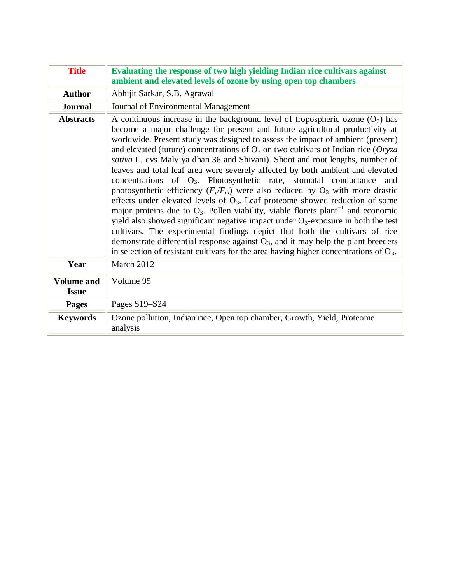| <b>Title</b>                      | Evaluating the response of two high yielding Indian rice cultivars against<br>ambient and elevated levels of ozone by using open top chambers                                                                                                                                                                                                                                                                                                                                                                                                                                                                                                                                                                                                                                                                                                                                                                                                                                                                                                                                                                                                                                                                                              |
|-----------------------------------|--------------------------------------------------------------------------------------------------------------------------------------------------------------------------------------------------------------------------------------------------------------------------------------------------------------------------------------------------------------------------------------------------------------------------------------------------------------------------------------------------------------------------------------------------------------------------------------------------------------------------------------------------------------------------------------------------------------------------------------------------------------------------------------------------------------------------------------------------------------------------------------------------------------------------------------------------------------------------------------------------------------------------------------------------------------------------------------------------------------------------------------------------------------------------------------------------------------------------------------------|
| <b>Author</b>                     | Abhijit Sarkar, S.B. Agrawal                                                                                                                                                                                                                                                                                                                                                                                                                                                                                                                                                                                                                                                                                                                                                                                                                                                                                                                                                                                                                                                                                                                                                                                                               |
| <b>Journal</b>                    | Journal of Environmental Management                                                                                                                                                                                                                                                                                                                                                                                                                                                                                                                                                                                                                                                                                                                                                                                                                                                                                                                                                                                                                                                                                                                                                                                                        |
| <b>Abstracts</b>                  | A continuous increase in the background level of tropospheric ozone $(O_3)$ has<br>become a major challenge for present and future agricultural productivity at<br>worldwide. Present study was designed to assess the impact of ambient (present)<br>and elevated (future) concentrations of $O_3$ on two cultivars of Indian rice (Oryza<br>sativa L. cvs Malviya dhan 36 and Shivani). Shoot and root lengths, number of<br>leaves and total leaf area were severely affected by both ambient and elevated<br>concentrations of O <sub>3</sub> . Photosynthetic rate, stomatal conductance<br>and<br>photosynthetic efficiency $(F_v/F_m)$ were also reduced by $O_3$ with more drastic<br>effects under elevated levels of $O3$ . Leaf proteome showed reduction of some<br>major proteins due to $O_3$ . Pollen viability, viable florets plant <sup>-1</sup> and economic<br>yield also showed significant negative impact under $O_3$ -exposure in both the test<br>cultivars. The experimental findings depict that both the cultivars of rice<br>demonstrate differential response against $O_3$ , and it may help the plant breeders<br>in selection of resistant cultivars for the area having higher concentrations of $O_3$ . |
| Year                              | March 2012                                                                                                                                                                                                                                                                                                                                                                                                                                                                                                                                                                                                                                                                                                                                                                                                                                                                                                                                                                                                                                                                                                                                                                                                                                 |
| <b>Volume and</b><br><b>Issue</b> | Volume 95                                                                                                                                                                                                                                                                                                                                                                                                                                                                                                                                                                                                                                                                                                                                                                                                                                                                                                                                                                                                                                                                                                                                                                                                                                  |
| <b>Pages</b>                      | Pages S19-S24                                                                                                                                                                                                                                                                                                                                                                                                                                                                                                                                                                                                                                                                                                                                                                                                                                                                                                                                                                                                                                                                                                                                                                                                                              |
| <b>Keywords</b>                   | Ozone pollution, Indian rice, Open top chamber, Growth, Yield, Proteome<br>analysis                                                                                                                                                                                                                                                                                                                                                                                                                                                                                                                                                                                                                                                                                                                                                                                                                                                                                                                                                                                                                                                                                                                                                        |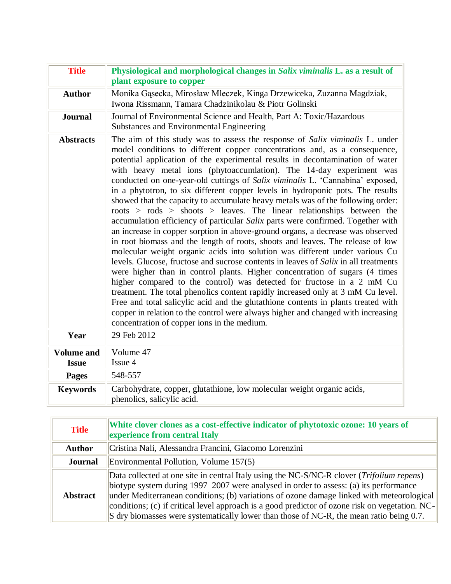| <b>Title</b>                      | Physiological and morphological changes in Salix viminalis L. as a result of<br>plant exposure to copper                                                                                                                                                                                                                                                                                                                                                                                                                                                                                                                                                                                                                                                                                                                                                                                                                                                                                                                                                                                                                                                                                                                                                                                                                                                                                                                                                                                                                                               |
|-----------------------------------|--------------------------------------------------------------------------------------------------------------------------------------------------------------------------------------------------------------------------------------------------------------------------------------------------------------------------------------------------------------------------------------------------------------------------------------------------------------------------------------------------------------------------------------------------------------------------------------------------------------------------------------------------------------------------------------------------------------------------------------------------------------------------------------------------------------------------------------------------------------------------------------------------------------------------------------------------------------------------------------------------------------------------------------------------------------------------------------------------------------------------------------------------------------------------------------------------------------------------------------------------------------------------------------------------------------------------------------------------------------------------------------------------------------------------------------------------------------------------------------------------------------------------------------------------------|
| <b>Author</b>                     | Monika Gąsecka, Mirosław Mleczek, Kinga Drzewiceka, Zuzanna Magdziak,<br>Iwona Rissmann, Tamara Chadzinikolau & Piotr Golinski                                                                                                                                                                                                                                                                                                                                                                                                                                                                                                                                                                                                                                                                                                                                                                                                                                                                                                                                                                                                                                                                                                                                                                                                                                                                                                                                                                                                                         |
| <b>Journal</b>                    | Journal of Environmental Science and Health, Part A: Toxic/Hazardous<br>Substances and Environmental Engineering                                                                                                                                                                                                                                                                                                                                                                                                                                                                                                                                                                                                                                                                                                                                                                                                                                                                                                                                                                                                                                                                                                                                                                                                                                                                                                                                                                                                                                       |
| <b>Abstracts</b>                  | The aim of this study was to assess the response of Salix viminalis L. under<br>model conditions to different copper concentrations and, as a consequence,<br>potential application of the experimental results in decontamination of water<br>with heavy metal ions (phytoaccumlation). The 14-day experiment was<br>conducted on one-year-old cuttings of Salix viminalis L. 'Cannabina' exposed,<br>in a phytotron, to six different copper levels in hydroponic pots. The results<br>showed that the capacity to accumulate heavy metals was of the following order:<br>$roots$ > $roots$ > shoots > leaves. The linear relationships between the<br>accumulation efficiency of particular Salix parts were confirmed. Together with<br>an increase in copper sorption in above-ground organs, a decrease was observed<br>in root biomass and the length of roots, shoots and leaves. The release of low<br>molecular weight organic acids into solution was different under various Cu<br>levels. Glucose, fructose and sucrose contents in leaves of Salix in all treatments<br>were higher than in control plants. Higher concentration of sugars (4 times<br>higher compared to the control) was detected for fructose in a 2 mM Cu<br>treatment. The total phenolics content rapidly increased only at 3 mM Cu level.<br>Free and total salicylic acid and the glutathione contents in plants treated with<br>copper in relation to the control were always higher and changed with increasing<br>concentration of copper ions in the medium. |
| Year                              | 29 Feb 2012                                                                                                                                                                                                                                                                                                                                                                                                                                                                                                                                                                                                                                                                                                                                                                                                                                                                                                                                                                                                                                                                                                                                                                                                                                                                                                                                                                                                                                                                                                                                            |
| <b>Volume and</b><br><b>Issue</b> | Volume 47<br>Issue 4                                                                                                                                                                                                                                                                                                                                                                                                                                                                                                                                                                                                                                                                                                                                                                                                                                                                                                                                                                                                                                                                                                                                                                                                                                                                                                                                                                                                                                                                                                                                   |
| <b>Pages</b>                      | 548-557                                                                                                                                                                                                                                                                                                                                                                                                                                                                                                                                                                                                                                                                                                                                                                                                                                                                                                                                                                                                                                                                                                                                                                                                                                                                                                                                                                                                                                                                                                                                                |
| <b>Keywords</b>                   | Carbohydrate, copper, glutathione, low molecular weight organic acids,<br>phenolics, salicylic acid.                                                                                                                                                                                                                                                                                                                                                                                                                                                                                                                                                                                                                                                                                                                                                                                                                                                                                                                                                                                                                                                                                                                                                                                                                                                                                                                                                                                                                                                   |

| <b>Title</b>    | White clover clones as a cost-effective indicator of phytotoxic ozone: 10 years of<br>experience from central Italy                                                                                                                                                                                                                                                                                                                                                                    |
|-----------------|----------------------------------------------------------------------------------------------------------------------------------------------------------------------------------------------------------------------------------------------------------------------------------------------------------------------------------------------------------------------------------------------------------------------------------------------------------------------------------------|
| <b>Author</b>   | Cristina Nali, Alessandra Francini, Giacomo Lorenzini                                                                                                                                                                                                                                                                                                                                                                                                                                  |
| <b>Journal</b>  | Environmental Pollution, Volume 157(5)                                                                                                                                                                                                                                                                                                                                                                                                                                                 |
| <b>Abstract</b> | Data collected at one site in central Italy using the NC-S/NC-R clover ( <i>Trifolium repens</i> )<br>biotype system during 1997–2007 were analysed in order to assess: (a) its performance<br>under Mediterranean conditions; (b) variations of ozone damage linked with meteorological<br>conditions; (c) if critical level approach is a good predictor of ozone risk on vegetation. NC-<br>S dry biomasses were systematically lower than those of NC-R, the mean ratio being 0.7. |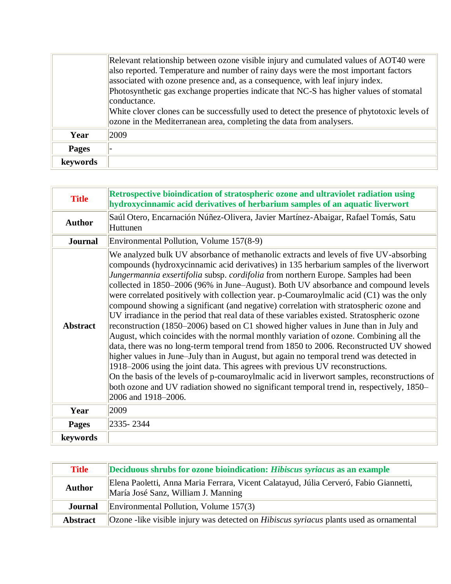|              | Relevant relationship between ozone visible injury and cumulated values of AOT40 were<br>also reported. Temperature and number of rainy days were the most important factors<br>associated with ozone presence and, as a consequence, with leaf injury index.<br>Photosynthetic gas exchange properties indicate that NC-S has higher values of stomatal<br>conductance. |
|--------------|--------------------------------------------------------------------------------------------------------------------------------------------------------------------------------------------------------------------------------------------------------------------------------------------------------------------------------------------------------------------------|
|              | White clover clones can be successfully used to detect the presence of phytotoxic levels of<br>ozone in the Mediterranean area, completing the data from analysers.                                                                                                                                                                                                      |
| Year         | 2009                                                                                                                                                                                                                                                                                                                                                                     |
| <b>Pages</b> |                                                                                                                                                                                                                                                                                                                                                                          |
| keywords     |                                                                                                                                                                                                                                                                                                                                                                          |

| <b>Title</b>    | Retrospective bioindication of stratospheric ozone and ultraviolet radiation using<br>hydroxycinnamic acid derivatives of herbarium samples of an aquatic liverwort                                                                                                                                                                                                                                                                                                                                                                                                                                                                                                                                                                                                                                                                                                                                                                                                                                                                                                                                                                                                                                                                                                                                                       |
|-----------------|---------------------------------------------------------------------------------------------------------------------------------------------------------------------------------------------------------------------------------------------------------------------------------------------------------------------------------------------------------------------------------------------------------------------------------------------------------------------------------------------------------------------------------------------------------------------------------------------------------------------------------------------------------------------------------------------------------------------------------------------------------------------------------------------------------------------------------------------------------------------------------------------------------------------------------------------------------------------------------------------------------------------------------------------------------------------------------------------------------------------------------------------------------------------------------------------------------------------------------------------------------------------------------------------------------------------------|
| <b>Author</b>   | Saúl Otero, Encarnación Núñez-Olivera, Javier Martínez-Abaigar, Rafael Tomás, Satu<br>Huttunen                                                                                                                                                                                                                                                                                                                                                                                                                                                                                                                                                                                                                                                                                                                                                                                                                                                                                                                                                                                                                                                                                                                                                                                                                            |
| <b>Journal</b>  | Environmental Pollution, Volume 157(8-9)                                                                                                                                                                                                                                                                                                                                                                                                                                                                                                                                                                                                                                                                                                                                                                                                                                                                                                                                                                                                                                                                                                                                                                                                                                                                                  |
| <b>Abstract</b> | We analyzed bulk UV absorbance of methanolic extracts and levels of five UV-absorbing<br>compounds (hydroxycinnamic acid derivatives) in 135 herbarium samples of the liverwort<br>Jungermannia exsertifolia subsp. cordifolia from northern Europe. Samples had been<br>collected in 1850–2006 (96% in June–August). Both UV absorbance and compound levels<br>were correlated positively with collection year. p-Coumaroylmalic acid (C1) was the only<br>compound showing a significant (and negative) correlation with stratospheric ozone and<br>UV irradiance in the period that real data of these variables existed. Stratospheric ozone<br>reconstruction (1850–2006) based on C1 showed higher values in June than in July and<br>August, which coincides with the normal monthly variation of ozone. Combining all the<br>data, there was no long-term temporal trend from 1850 to 2006. Reconstructed UV showed<br>higher values in June–July than in August, but again no temporal trend was detected in<br>1918–2006 using the joint data. This agrees with previous UV reconstructions.<br>On the basis of the levels of p-coumaroylmalic acid in liverwort samples, reconstructions of<br>both ozone and UV radiation showed no significant temporal trend in, respectively, 1850–<br>2006 and 1918-2006. |
| Year            | 2009                                                                                                                                                                                                                                                                                                                                                                                                                                                                                                                                                                                                                                                                                                                                                                                                                                                                                                                                                                                                                                                                                                                                                                                                                                                                                                                      |
| <b>Pages</b>    | 2335-2344                                                                                                                                                                                                                                                                                                                                                                                                                                                                                                                                                                                                                                                                                                                                                                                                                                                                                                                                                                                                                                                                                                                                                                                                                                                                                                                 |
| keywords        |                                                                                                                                                                                                                                                                                                                                                                                                                                                                                                                                                                                                                                                                                                                                                                                                                                                                                                                                                                                                                                                                                                                                                                                                                                                                                                                           |

| <b>Title</b>    | Deciduous shrubs for ozone bioindication: Hibiscus syriacus as an example                                                    |
|-----------------|------------------------------------------------------------------------------------------------------------------------------|
| <b>Author</b>   | Elena Paoletti, Anna Maria Ferrara, Vicent Calatayud, Júlia Cerveró, Fabio Giannetti,<br>María José Sanz, William J. Manning |
| <b>Journal</b>  | Environmental Pollution, Volume $157(3)$                                                                                     |
| <b>Abstract</b> | <b>Ozone</b> -like visible injury was detected on <i>Hibiscus syriacus</i> plants used as ornamental                         |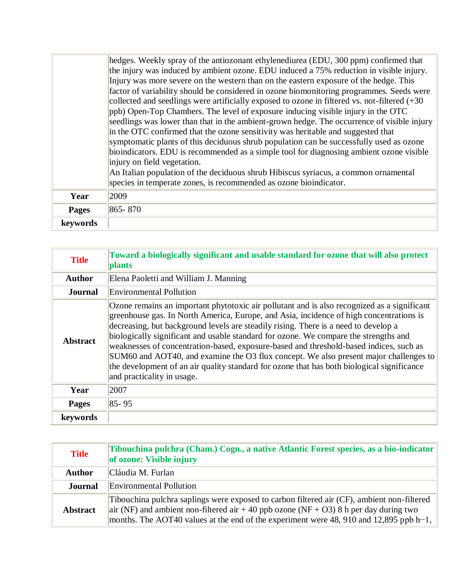|          | hedges. Weekly spray of the antiozonant ethylenediurea (EDU, 300 ppm) confirmed that            |
|----------|-------------------------------------------------------------------------------------------------|
|          | the injury was induced by ambient ozone. EDU induced a 75% reduction in visible injury.         |
|          | Injury was more severe on the western than on the eastern exposure of the hedge. This           |
|          | factor of variability should be considered in ozone biomonitoring programmes. Seeds were        |
|          | collected and seedlings were artificially exposed to ozone in filtered vs. not-filtered $(+30)$ |
|          | ppb) Open-Top Chambers. The level of exposure inducing visible injury in the OTC                |
|          | seedlings was lower than that in the ambient-grown hedge. The occurrence of visible injury      |
|          | in the OTC confirmed that the ozone sensitivity was heritable and suggested that                |
|          | symptomatic plants of this deciduous shrub population can be successfully used as ozone         |
|          | bioindicators. EDU is recommended as a simple tool for diagnosing ambient ozone visible         |
|          | injury on field vegetation.                                                                     |
|          | An Italian population of the deciduous shrub Hibiscus syriacus, a common ornamental             |
|          | species in temperate zones, is recommended as ozone bioindicator.                               |
| Year     | 2009                                                                                            |
| Pages    | 865-870                                                                                         |
| keywords |                                                                                                 |

| <b>Title</b>    | Toward a biologically significant and usable standard for ozone that will also protect<br><b>plants</b>                                                                                                                                                                                                                                                                                                                                                                                                                                                                                                                                                                              |
|-----------------|--------------------------------------------------------------------------------------------------------------------------------------------------------------------------------------------------------------------------------------------------------------------------------------------------------------------------------------------------------------------------------------------------------------------------------------------------------------------------------------------------------------------------------------------------------------------------------------------------------------------------------------------------------------------------------------|
| <b>Author</b>   | Elena Paoletti and William J. Manning                                                                                                                                                                                                                                                                                                                                                                                                                                                                                                                                                                                                                                                |
| <b>Journal</b>  | Environmental Pollution                                                                                                                                                                                                                                                                                                                                                                                                                                                                                                                                                                                                                                                              |
| <b>Abstract</b> | Ozone remains an important phytotoxic air pollutant and is also recognized as a significant<br>greenhouse gas. In North America, Europe, and Asia, incidence of high concentrations is<br>decreasing, but background levels are steadily rising. There is a need to develop a<br>biologically significant and usable standard for ozone. We compare the strengths and<br>weaknesses of concentration-based, exposure-based and threshold-based indices, such as<br>SUM60 and AOT40, and examine the O3 flux concept. We also present major challenges to<br>the development of an air quality standard for ozone that has both biological significance<br>and practicality in usage. |
| Year            | 2007                                                                                                                                                                                                                                                                                                                                                                                                                                                                                                                                                                                                                                                                                 |
| <b>Pages</b>    | $85 - 95$                                                                                                                                                                                                                                                                                                                                                                                                                                                                                                                                                                                                                                                                            |
| keywords        |                                                                                                                                                                                                                                                                                                                                                                                                                                                                                                                                                                                                                                                                                      |

| <b>Title</b>    | Tibouchina pulchra (Cham.) Cogn., a native Atlantic Forest species, as a bio-indicator   <br>of ozone: Visible injury                                                                                                                                                        |
|-----------------|------------------------------------------------------------------------------------------------------------------------------------------------------------------------------------------------------------------------------------------------------------------------------|
| <b>Author</b>   | Cláudia M. Furlan                                                                                                                                                                                                                                                            |
| <b>Journal</b>  | Environmental Pollution                                                                                                                                                                                                                                                      |
| <b>Abstract</b> | Tibouchina pulchra saplings were exposed to carbon filtered air (CF), ambient non-filtered<br>air (NF) and ambient non-filtered air +40 ppb ozone (NF + O3) 8 h per day during two<br>months. The AOT40 values at the end of the experiment were 48, 910 and 12,895 ppb h-1, |